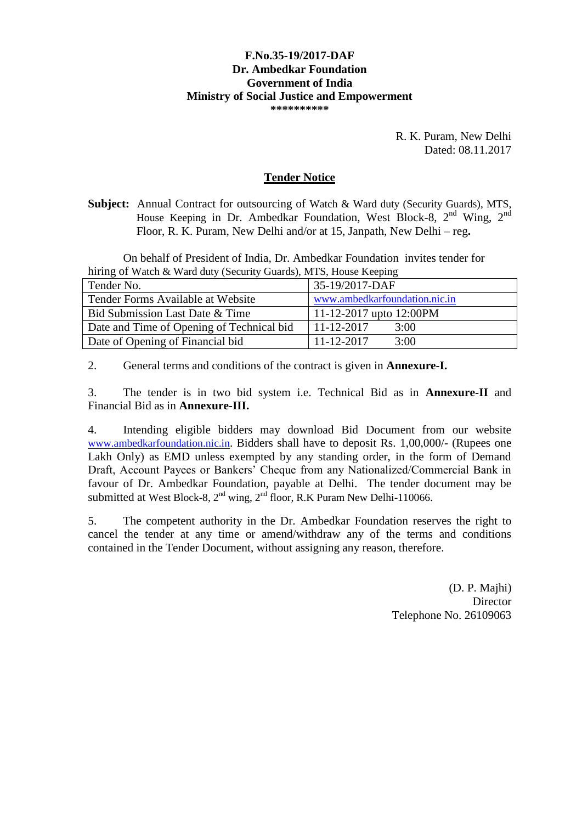#### **F.No.35-19/2017-DAF Dr. Ambedkar Foundation Government of India Ministry of Social Justice and Empowerment \*\*\*\*\*\*\*\*\*\***

R. K. Puram, New Delhi Dated: 08.11.2017

### **Tender Notice**

**Subject:** Annual Contract for outsourcing of Watch & Ward duty (Security Guards), MTS, House Keeping in Dr. Ambedkar Foundation, West Block-8,  $2<sup>nd</sup>$  Wing,  $2<sup>nd</sup>$ Floor, R. K. Puram, New Delhi and/or at 15, Janpath, New Delhi – reg**.**

On behalf of President of India, Dr. Ambedkar Foundation invites tender for hiring of Watch & Ward duty (Security Guards), MTS, House Keeping

| Tender No.                                 | 35-19/2017-DAF                |
|--------------------------------------------|-------------------------------|
| Tender Forms Available at Website          | www.ambedkarfoundation.nic.in |
| <b>Bid Submission Last Date &amp; Time</b> | 11-12-2017 upto $12:00PM$     |
| Date and Time of Opening of Technical bid  | $11 - 12 - 2017$<br>3:00      |
| Date of Opening of Financial bid           | $11 - 12 - 2017$<br>3:00      |

2. General terms and conditions of the contract is given in **Annexure-I.**

3. The tender is in two bid system i.e. Technical Bid as in **Annexure-II** and Financial Bid as in **Annexure-III.**

4. Intending eligible bidders may download Bid Document from our website [www.ambedkarfoundation.nic.in](http://www.ambedkarfoundation.nic.in/). Bidders shall have to deposit Rs. 1,00,000/- (Rupees one Lakh Only) as EMD unless exempted by any standing order, in the form of Demand Draft, Account Payees or Bankers' Cheque from any Nationalized/Commercial Bank in favour of Dr. Ambedkar Foundation, payable at Delhi. The tender document may be submitted at West Block-8,  $2<sup>nd</sup>$  wing,  $2<sup>nd</sup>$  floor, R.K Puram New Delhi-110066.

5. The competent authority in the Dr. Ambedkar Foundation reserves the right to cancel the tender at any time or amend/withdraw any of the terms and conditions contained in the Tender Document, without assigning any reason, therefore.

> (D. P. Majhi) **Director** Telephone No. 26109063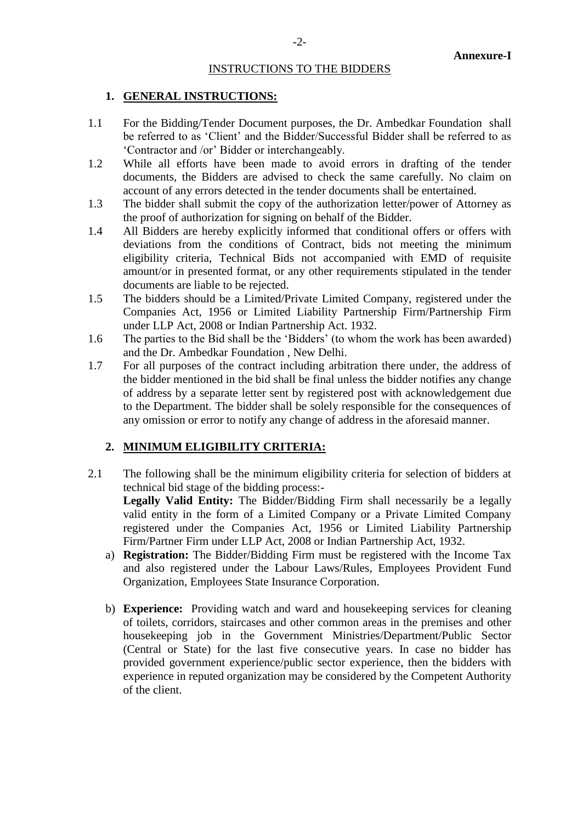#### INSTRUCTIONS TO THE BIDDERS

#### **1. GENERAL INSTRUCTIONS:**

- 1.1 For the Bidding/Tender Document purposes, the Dr. Ambedkar Foundation shall be referred to as 'Client' and the Bidder/Successful Bidder shall be referred to as 'Contractor and /or' Bidder or interchangeably.
- 1.2 While all efforts have been made to avoid errors in drafting of the tender documents, the Bidders are advised to check the same carefully. No claim on account of any errors detected in the tender documents shall be entertained.
- 1.3 The bidder shall submit the copy of the authorization letter/power of Attorney as the proof of authorization for signing on behalf of the Bidder.
- 1.4 All Bidders are hereby explicitly informed that conditional offers or offers with deviations from the conditions of Contract, bids not meeting the minimum eligibility criteria, Technical Bids not accompanied with EMD of requisite amount/or in presented format, or any other requirements stipulated in the tender documents are liable to be rejected.
- 1.5 The bidders should be a Limited/Private Limited Company, registered under the Companies Act, 1956 or Limited Liability Partnership Firm/Partnership Firm under LLP Act, 2008 or Indian Partnership Act. 1932.
- 1.6 The parties to the Bid shall be the 'Bidders' (to whom the work has been awarded) and the Dr. Ambedkar Foundation , New Delhi.
- 1.7 For all purposes of the contract including arbitration there under, the address of the bidder mentioned in the bid shall be final unless the bidder notifies any change of address by a separate letter sent by registered post with acknowledgement due to the Department. The bidder shall be solely responsible for the consequences of any omission or error to notify any change of address in the aforesaid manner.

#### **2. MINIMUM ELIGIBILITY CRITERIA:**

2.1 The following shall be the minimum eligibility criteria for selection of bidders at technical bid stage of the bidding process:- **Legally Valid Entity:** The Bidder/Bidding Firm shall necessarily be a legally

valid entity in the form of a Limited Company or a Private Limited Company registered under the Companies Act, 1956 or Limited Liability Partnership Firm/Partner Firm under LLP Act, 2008 or Indian Partnership Act, 1932.

- a) **Registration:** The Bidder/Bidding Firm must be registered with the Income Tax and also registered under the Labour Laws/Rules, Employees Provident Fund Organization, Employees State Insurance Corporation.
- b) **Experience:** Providing watch and ward and housekeeping services for cleaning of toilets, corridors, staircases and other common areas in the premises and other housekeeping job in the Government Ministries/Department/Public Sector (Central or State) for the last five consecutive years. In case no bidder has provided government experience/public sector experience, then the bidders with experience in reputed organization may be considered by the Competent Authority of the client.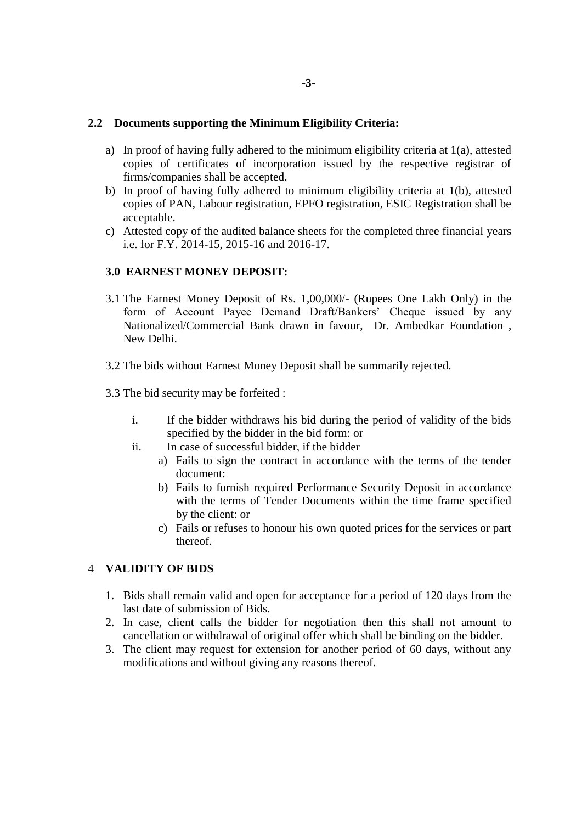### **2.2 Documents supporting the Minimum Eligibility Criteria:**

- a) In proof of having fully adhered to the minimum eligibility criteria at  $1(a)$ , attested copies of certificates of incorporation issued by the respective registrar of firms/companies shall be accepted.
- b) In proof of having fully adhered to minimum eligibility criteria at 1(b), attested copies of PAN, Labour registration, EPFO registration, ESIC Registration shall be acceptable.
- c) Attested copy of the audited balance sheets for the completed three financial years i.e. for F.Y. 2014-15, 2015-16 and 2016-17.

# **3.0 EARNEST MONEY DEPOSIT:**

- 3.1 The Earnest Money Deposit of Rs. 1,00,000/- (Rupees One Lakh Only) in the form of Account Payee Demand Draft/Bankers' Cheque issued by any Nationalized/Commercial Bank drawn in favour, Dr. Ambedkar Foundation , New Delhi.
- 3.2 The bids without Earnest Money Deposit shall be summarily rejected.
- 3.3 The bid security may be forfeited :
	- i. If the bidder withdraws his bid during the period of validity of the bids specified by the bidder in the bid form: or
	- ii. In case of successful bidder, if the bidder
		- a) Fails to sign the contract in accordance with the terms of the tender document:
		- b) Fails to furnish required Performance Security Deposit in accordance with the terms of Tender Documents within the time frame specified by the client: or
		- c) Fails or refuses to honour his own quoted prices for the services or part thereof.

#### 4 **VALIDITY OF BIDS**

- 1. Bids shall remain valid and open for acceptance for a period of 120 days from the last date of submission of Bids.
- 2. In case, client calls the bidder for negotiation then this shall not amount to cancellation or withdrawal of original offer which shall be binding on the bidder.
- 3. The client may request for extension for another period of 60 days, without any modifications and without giving any reasons thereof.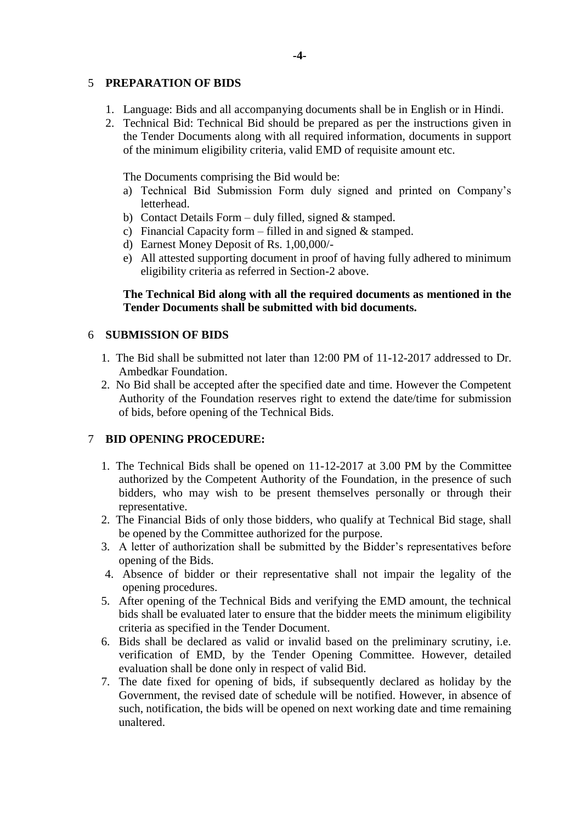# 5 **PREPARATION OF BIDS**

- 1. Language: Bids and all accompanying documents shall be in English or in Hindi.
- 2. Technical Bid: Technical Bid should be prepared as per the instructions given in the Tender Documents along with all required information, documents in support of the minimum eligibility criteria, valid EMD of requisite amount etc.

The Documents comprising the Bid would be:

- a) Technical Bid Submission Form duly signed and printed on Company's letterhead.
- b) Contact Details Form duly filled, signed  $&$  stamped.
- c) Financial Capacity form filled in and signed  $\&$  stamped.
- d) Earnest Money Deposit of Rs. 1,00,000/-
- e) All attested supporting document in proof of having fully adhered to minimum eligibility criteria as referred in Section-2 above.

# **The Technical Bid along with all the required documents as mentioned in the Tender Documents shall be submitted with bid documents.**

# 6 **SUBMISSION OF BIDS**

- 1. The Bid shall be submitted not later than 12:00 PM of 11-12-2017 addressed to Dr. Ambedkar Foundation.
- 2. No Bid shall be accepted after the specified date and time. However the Competent Authority of the Foundation reserves right to extend the date/time for submission of bids, before opening of the Technical Bids.

# 7 **BID OPENING PROCEDURE:**

- 1. The Technical Bids shall be opened on 11-12-2017 at 3.00 PM by the Committee authorized by the Competent Authority of the Foundation, in the presence of such bidders, who may wish to be present themselves personally or through their representative.
- 2. The Financial Bids of only those bidders, who qualify at Technical Bid stage, shall be opened by the Committee authorized for the purpose.
- 3. A letter of authorization shall be submitted by the Bidder's representatives before opening of the Bids.
- 4. Absence of bidder or their representative shall not impair the legality of the opening procedures.
- 5. After opening of the Technical Bids and verifying the EMD amount, the technical bids shall be evaluated later to ensure that the bidder meets the minimum eligibility criteria as specified in the Tender Document.
- 6. Bids shall be declared as valid or invalid based on the preliminary scrutiny, i.e. verification of EMD, by the Tender Opening Committee. However, detailed evaluation shall be done only in respect of valid Bid.
- 7. The date fixed for opening of bids, if subsequently declared as holiday by the Government, the revised date of schedule will be notified. However, in absence of such, notification, the bids will be opened on next working date and time remaining unaltered.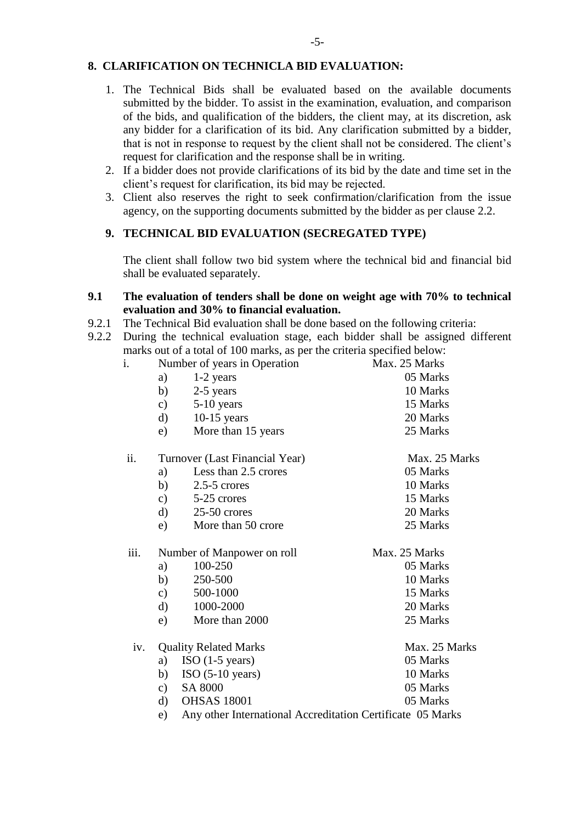# **8. CLARIFICATION ON TECHNICLA BID EVALUATION:**

- 1. The Technical Bids shall be evaluated based on the available documents submitted by the bidder. To assist in the examination, evaluation, and comparison of the bids, and qualification of the bidders, the client may, at its discretion, ask any bidder for a clarification of its bid. Any clarification submitted by a bidder, that is not in response to request by the client shall not be considered. The client's request for clarification and the response shall be in writing.
- 2. If a bidder does not provide clarifications of its bid by the date and time set in the client's request for clarification, its bid may be rejected.
- 3. Client also reserves the right to seek confirmation/clarification from the issue agency, on the supporting documents submitted by the bidder as per clause 2.2.

# **9. TECHNICAL BID EVALUATION (SECREGATED TYPE)**

The client shall follow two bid system where the technical bid and financial bid shall be evaluated separately.

#### **9.1 The evaluation of tenders shall be done on weight age with 70% to technical evaluation and 30% to financial evaluation.**

- 9.2.1 The Technical Bid evaluation shall be done based on the following criteria:
- 9.2.2 During the technical evaluation stage, each bidder shall be assigned different marks out of a total of 100 marks, as per the criteria specified below:

| i.   |               | Number of years in Operation                               | Max. 25 Marks |
|------|---------------|------------------------------------------------------------|---------------|
|      | a)            | $1-2$ years                                                | 05 Marks      |
|      | b)            | 2-5 years                                                  | 10 Marks      |
|      | c)            | 5-10 years                                                 | 15 Marks      |
|      | d)            | $10-15$ years                                              | 20 Marks      |
|      | e)            | More than 15 years                                         | 25 Marks      |
| ii.  |               | Turnover (Last Financial Year)                             | Max. 25 Marks |
|      | a)            | Less than 2.5 crores                                       | 05 Marks      |
|      | b)            | $2.5 - 5$ crores                                           | 10 Marks      |
|      |               | c) $5-25$ crores                                           | 15 Marks      |
|      | $\mathbf{d}$  | $25-50$ crores                                             | 20 Marks      |
|      | e)            | More than 50 crore                                         | 25 Marks      |
| iii. |               | Number of Manpower on roll                                 | Max. 25 Marks |
|      | a)            | 100-250                                                    | 05 Marks      |
|      | b)            | 250-500                                                    | 10 Marks      |
|      | $\mathbf{c})$ | 500-1000                                                   | 15 Marks      |
|      | $\rm d)$      | 1000-2000                                                  | 20 Marks      |
|      | e)            | More than 2000                                             | 25 Marks      |
| iv.  |               | <b>Quality Related Marks</b>                               | Max. 25 Marks |
|      | a)            | $ISO(1-5 years)$                                           | 05 Marks      |
|      | b)            | $ISO(5-10 years)$                                          | 10 Marks      |
|      | c)            | SA 8000                                                    | 05 Marks      |
|      | $\rm d$       | <b>OHSAS 18001</b>                                         | 05 Marks      |
|      | e)            | Any other International Accreditation Certificate 05 Marks |               |
|      |               |                                                            |               |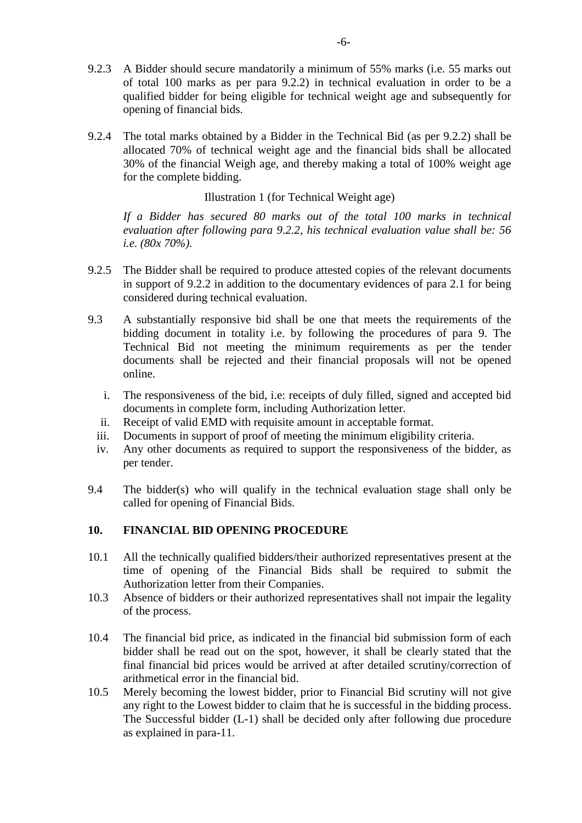- 9.2.3 A Bidder should secure mandatorily a minimum of 55% marks (i.e. 55 marks out of total 100 marks as per para 9.2.2) in technical evaluation in order to be a qualified bidder for being eligible for technical weight age and subsequently for opening of financial bids.
- 9.2.4 The total marks obtained by a Bidder in the Technical Bid (as per 9.2.2) shall be allocated 70% of technical weight age and the financial bids shall be allocated 30% of the financial Weigh age, and thereby making a total of 100% weight age for the complete bidding.

### Illustration 1 (for Technical Weight age)

*If a Bidder has secured 80 marks out of the total 100 marks in technical evaluation after following para 9.2.2, his technical evaluation value shall be: 56 i.e. (80x 70%).*

- 9.2.5 The Bidder shall be required to produce attested copies of the relevant documents in support of 9.2.2 in addition to the documentary evidences of para 2.1 for being considered during technical evaluation.
- 9.3 A substantially responsive bid shall be one that meets the requirements of the bidding document in totality i.e. by following the procedures of para 9. The Technical Bid not meeting the minimum requirements as per the tender documents shall be rejected and their financial proposals will not be opened online.
	- i. The responsiveness of the bid, i.e: receipts of duly filled, signed and accepted bid documents in complete form, including Authorization letter.
	- ii. Receipt of valid EMD with requisite amount in acceptable format.
	- iii. Documents in support of proof of meeting the minimum eligibility criteria.
	- iv. Any other documents as required to support the responsiveness of the bidder, as per tender.
- 9.4 The bidder(s) who will qualify in the technical evaluation stage shall only be called for opening of Financial Bids.

# **10. FINANCIAL BID OPENING PROCEDURE**

- 10.1 All the technically qualified bidders/their authorized representatives present at the time of opening of the Financial Bids shall be required to submit the Authorization letter from their Companies.
- 10.3 Absence of bidders or their authorized representatives shall not impair the legality of the process.
- 10.4 The financial bid price, as indicated in the financial bid submission form of each bidder shall be read out on the spot, however, it shall be clearly stated that the final financial bid prices would be arrived at after detailed scrutiny/correction of arithmetical error in the financial bid.
- 10.5 Merely becoming the lowest bidder, prior to Financial Bid scrutiny will not give any right to the Lowest bidder to claim that he is successful in the bidding process. The Successful bidder (L-1) shall be decided only after following due procedure as explained in para-11.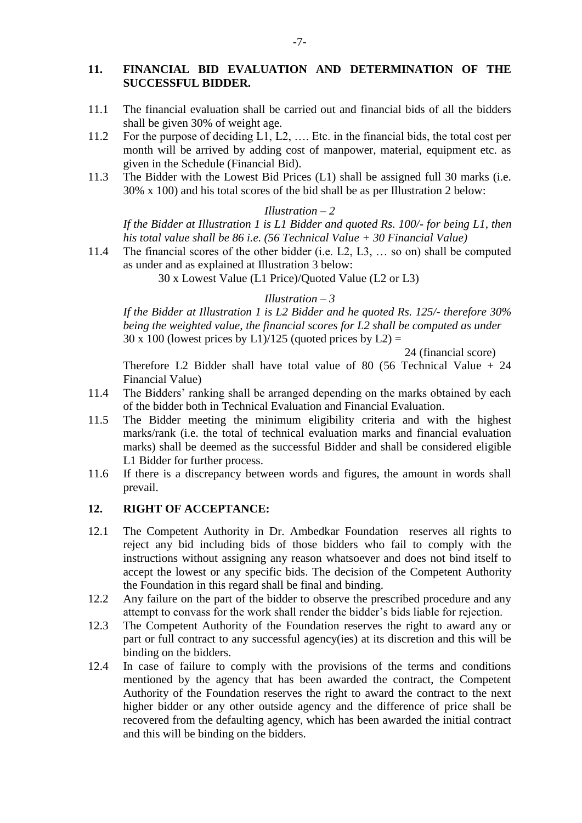# **11. FINANCIAL BID EVALUATION AND DETERMINATION OF THE SUCCESSFUL BIDDER.**

- 11.1 The financial evaluation shall be carried out and financial bids of all the bidders shall be given 30% of weight age.
- 11.2 For the purpose of deciding L1, L2, …. Etc. in the financial bids, the total cost per month will be arrived by adding cost of manpower, material, equipment etc. as given in the Schedule (Financial Bid).
- 11.3 The Bidder with the Lowest Bid Prices (L1) shall be assigned full 30 marks (i.e. 30% x 100) and his total scores of the bid shall be as per Illustration 2 below:

#### *Illustration – 2*

*If the Bidder at Illustration 1 is L1 Bidder and quoted Rs. 100/- for being L1, then his total value shall be 86 i.e. (56 Technical Value + 30 Financial Value)*

11.4 The financial scores of the other bidder (i.e. L2, L3, … so on) shall be computed as under and as explained at Illustration 3 below:

30 x Lowest Value (L1 Price)/Quoted Value (L2 or L3)

#### *Illustration – 3*

*If the Bidder at Illustration 1 is L2 Bidder and he quoted Rs. 125/- therefore 30% being the weighted value, the financial scores for L2 shall be computed as under*  $30 \times 100$  (lowest prices by L1)/125 (quoted prices by L2) =

24 (financial score)

Therefore L2 Bidder shall have total value of 80 (56 Technical Value + 24 Financial Value)

- 11.4 The Bidders' ranking shall be arranged depending on the marks obtained by each of the bidder both in Technical Evaluation and Financial Evaluation.
- 11.5 The Bidder meeting the minimum eligibility criteria and with the highest marks/rank (i.e. the total of technical evaluation marks and financial evaluation marks) shall be deemed as the successful Bidder and shall be considered eligible L1 Bidder for further process.
- 11.6 If there is a discrepancy between words and figures, the amount in words shall prevail.

#### **12. RIGHT OF ACCEPTANCE:**

- 12.1 The Competent Authority in Dr. Ambedkar Foundation reserves all rights to reject any bid including bids of those bidders who fail to comply with the instructions without assigning any reason whatsoever and does not bind itself to accept the lowest or any specific bids. The decision of the Competent Authority the Foundation in this regard shall be final and binding.
- 12.2 Any failure on the part of the bidder to observe the prescribed procedure and any attempt to convass for the work shall render the bidder's bids liable for rejection.
- 12.3 The Competent Authority of the Foundation reserves the right to award any or part or full contract to any successful agency(ies) at its discretion and this will be binding on the bidders.
- 12.4 In case of failure to comply with the provisions of the terms and conditions mentioned by the agency that has been awarded the contract, the Competent Authority of the Foundation reserves the right to award the contract to the next higher bidder or any other outside agency and the difference of price shall be recovered from the defaulting agency, which has been awarded the initial contract and this will be binding on the bidders.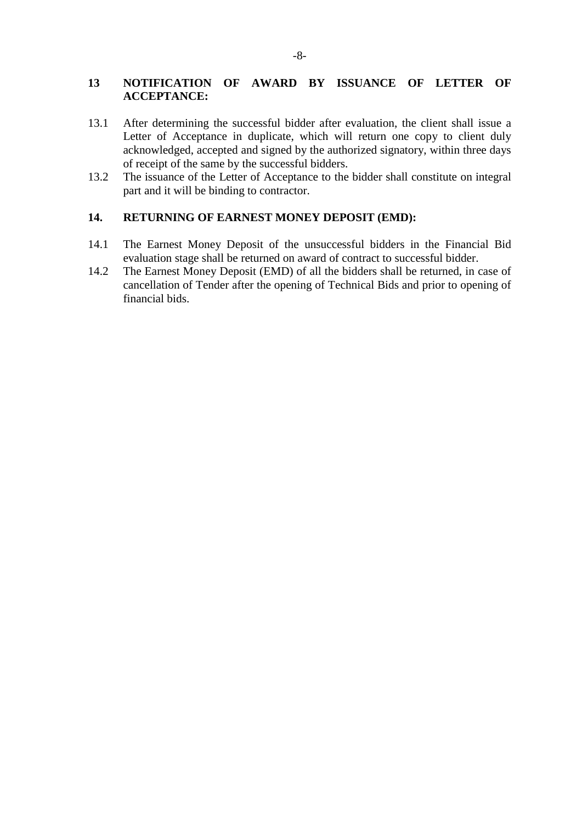# **13 NOTIFICATION OF AWARD BY ISSUANCE OF LETTER OF ACCEPTANCE:**

- 13.1 After determining the successful bidder after evaluation, the client shall issue a Letter of Acceptance in duplicate, which will return one copy to client duly acknowledged, accepted and signed by the authorized signatory, within three days of receipt of the same by the successful bidders.
- 13.2 The issuance of the Letter of Acceptance to the bidder shall constitute on integral part and it will be binding to contractor.

#### **14. RETURNING OF EARNEST MONEY DEPOSIT (EMD):**

- 14.1 The Earnest Money Deposit of the unsuccessful bidders in the Financial Bid evaluation stage shall be returned on award of contract to successful bidder.
- 14.2 The Earnest Money Deposit (EMD) of all the bidders shall be returned, in case of cancellation of Tender after the opening of Technical Bids and prior to opening of financial bids.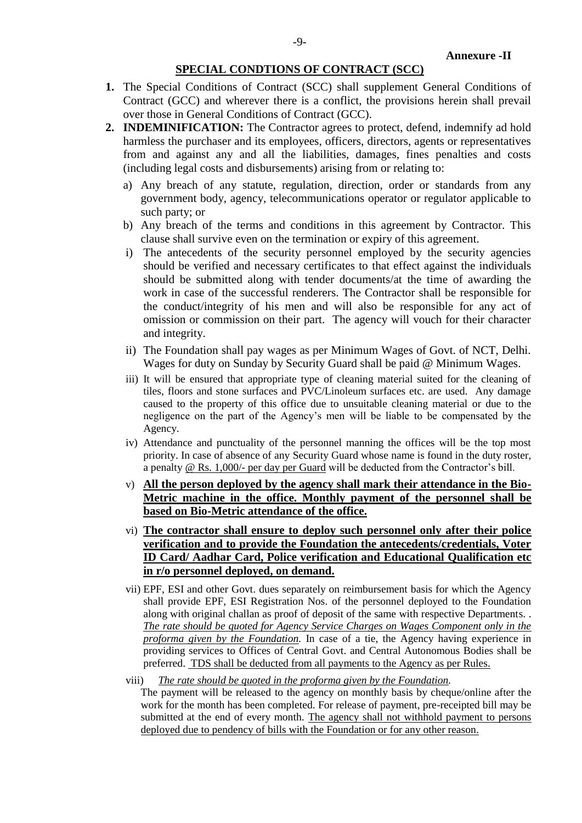# **SPECIAL CONDTIONS OF CONTRACT (SCC)**

- **1.** The Special Conditions of Contract (SCC) shall supplement General Conditions of Contract (GCC) and wherever there is a conflict, the provisions herein shall prevail over those in General Conditions of Contract (GCC).
- **2. INDEMINIFICATION:** The Contractor agrees to protect, defend, indemnify ad hold harmless the purchaser and its employees, officers, directors, agents or representatives from and against any and all the liabilities, damages, fines penalties and costs (including legal costs and disbursements) arising from or relating to:
	- a) Any breach of any statute, regulation, direction, order or standards from any government body, agency, telecommunications operator or regulator applicable to such party; or
	- b) Any breach of the terms and conditions in this agreement by Contractor. This clause shall survive even on the termination or expiry of this agreement.
	- i) The antecedents of the security personnel employed by the security agencies should be verified and necessary certificates to that effect against the individuals should be submitted along with tender documents/at the time of awarding the work in case of the successful renderers. The Contractor shall be responsible for the conduct/integrity of his men and will also be responsible for any act of omission or commission on their part. The agency will vouch for their character and integrity.
	- ii) The Foundation shall pay wages as per Minimum Wages of Govt. of NCT, Delhi. Wages for duty on Sunday by Security Guard shall be paid @ Minimum Wages.
	- iii) It will be ensured that appropriate type of cleaning material suited for the cleaning of tiles, floors and stone surfaces and PVC/Linoleum surfaces etc. are used. Any damage caused to the property of this office due to unsuitable cleaning material or due to the negligence on the part of the Agency's men will be liable to be compensated by the Agency.
	- iv) Attendance and punctuality of the personnel manning the offices will be the top most priority. In case of absence of any Security Guard whose name is found in the duty roster, a penalty @ Rs. 1,000/- per day per Guard will be deducted from the Contractor's bill.
	- v) **All the person deployed by the agency shall mark their attendance in the Bio-Metric machine in the office. Monthly payment of the personnel shall be based on Bio-Metric attendance of the office.**
	- vi) **The contractor shall ensure to deploy such personnel only after their police verification and to provide the Foundation the antecedents/credentials, Voter ID Card/ Aadhar Card, Police verification and Educational Qualification etc in r/o personnel deployed, on demand.**
	- vii) EPF, ESI and other Govt. dues separately on reimbursement basis for which the Agency shall provide EPF, ESI Registration Nos. of the personnel deployed to the Foundation along with original challan as proof of deposit of the same with respective Departments. . *The rate should be quoted for Agency Service Charges on Wages Component only in the proforma given by the Foundation.* In case of a tie, the Agency having experience in providing services to Offices of Central Govt. and Central Autonomous Bodies shall be preferred. TDS shall be deducted from all payments to the Agency as per Rules.
	- viii) *The rate should be quoted in the proforma given by the Foundation.*

The payment will be released to the agency on monthly basis by cheque/online after the work for the month has been completed. For release of payment, pre-receipted bill may be submitted at the end of every month. The agency shall not withhold payment to persons deployed due to pendency of bills with the Foundation or for any other reason.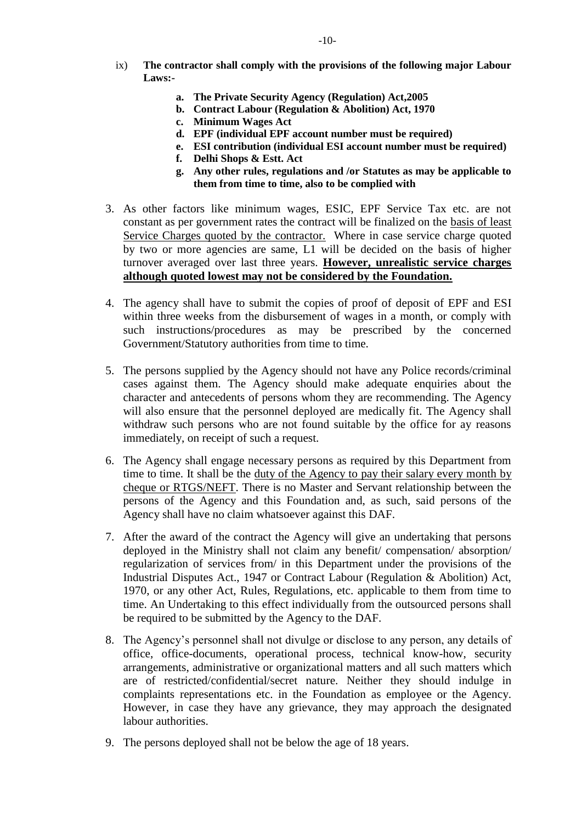- ix) **The contractor shall comply with the provisions of the following major Labour Laws:**
	- **a. The Private Security Agency (Regulation) Act,2005**
	- **b. Contract Labour (Regulation & Abolition) Act, 1970**
	- **c. Minimum Wages Act**
	- **d. EPF (individual EPF account number must be required)**
	- **e. ESI contribution (individual ESI account number must be required)**
	- **f. Delhi Shops & Estt. Act**
	- **g. Any other rules, regulations and /or Statutes as may be applicable to them from time to time, also to be complied with**
- 3. As other factors like minimum wages, ESIC, EPF Service Tax etc. are not constant as per government rates the contract will be finalized on the basis of least Service Charges quoted by the contractor. Where in case service charge quoted by two or more agencies are same, L1 will be decided on the basis of higher turnover averaged over last three years. **However, unrealistic service charges although quoted lowest may not be considered by the Foundation.**
- 4. The agency shall have to submit the copies of proof of deposit of EPF and ESI within three weeks from the disbursement of wages in a month, or comply with such instructions/procedures as may be prescribed by the concerned Government/Statutory authorities from time to time.
- 5. The persons supplied by the Agency should not have any Police records/criminal cases against them. The Agency should make adequate enquiries about the character and antecedents of persons whom they are recommending. The Agency will also ensure that the personnel deployed are medically fit. The Agency shall withdraw such persons who are not found suitable by the office for ay reasons immediately, on receipt of such a request.
- 6. The Agency shall engage necessary persons as required by this Department from time to time. It shall be the duty of the Agency to pay their salary every month by cheque or RTGS/NEFT. There is no Master and Servant relationship between the persons of the Agency and this Foundation and, as such, said persons of the Agency shall have no claim whatsoever against this DAF.
- 7. After the award of the contract the Agency will give an undertaking that persons deployed in the Ministry shall not claim any benefit/ compensation/ absorption/ regularization of services from/ in this Department under the provisions of the Industrial Disputes Act., 1947 or Contract Labour (Regulation & Abolition) Act, 1970, or any other Act, Rules, Regulations, etc. applicable to them from time to time. An Undertaking to this effect individually from the outsourced persons shall be required to be submitted by the Agency to the DAF.
- 8. The Agency's personnel shall not divulge or disclose to any person, any details of office, office-documents, operational process, technical know-how, security arrangements, administrative or organizational matters and all such matters which are of restricted/confidential/secret nature. Neither they should indulge in complaints representations etc. in the Foundation as employee or the Agency. However, in case they have any grievance, they may approach the designated labour authorities.
- 9. The persons deployed shall not be below the age of 18 years.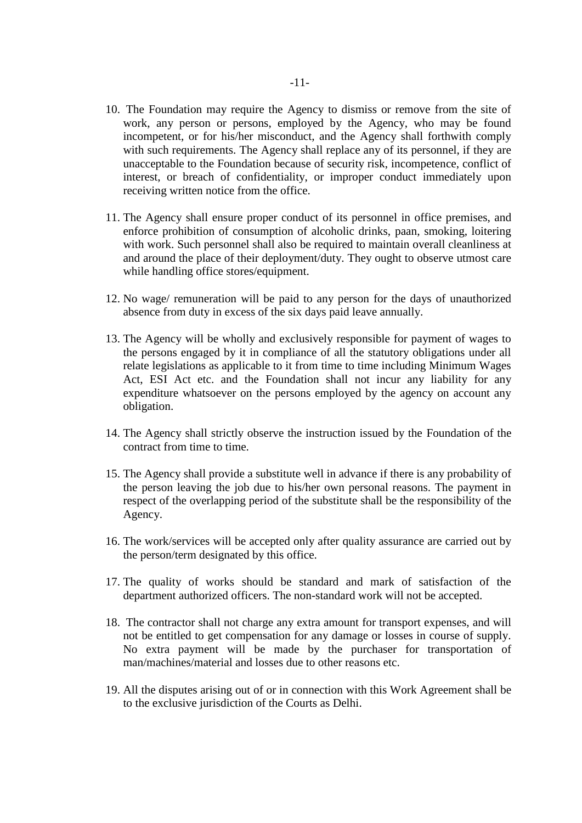- 10. The Foundation may require the Agency to dismiss or remove from the site of work, any person or persons, employed by the Agency, who may be found incompetent, or for his/her misconduct, and the Agency shall forthwith comply with such requirements. The Agency shall replace any of its personnel, if they are unacceptable to the Foundation because of security risk, incompetence, conflict of interest, or breach of confidentiality, or improper conduct immediately upon receiving written notice from the office.
- 11. The Agency shall ensure proper conduct of its personnel in office premises, and enforce prohibition of consumption of alcoholic drinks, paan, smoking, loitering with work. Such personnel shall also be required to maintain overall cleanliness at and around the place of their deployment/duty. They ought to observe utmost care while handling office stores/equipment.
- 12. No wage/ remuneration will be paid to any person for the days of unauthorized absence from duty in excess of the six days paid leave annually.
- 13. The Agency will be wholly and exclusively responsible for payment of wages to the persons engaged by it in compliance of all the statutory obligations under all relate legislations as applicable to it from time to time including Minimum Wages Act, ESI Act etc. and the Foundation shall not incur any liability for any expenditure whatsoever on the persons employed by the agency on account any obligation.
- 14. The Agency shall strictly observe the instruction issued by the Foundation of the contract from time to time.
- 15. The Agency shall provide a substitute well in advance if there is any probability of the person leaving the job due to his/her own personal reasons. The payment in respect of the overlapping period of the substitute shall be the responsibility of the Agency.
- 16. The work/services will be accepted only after quality assurance are carried out by the person/term designated by this office.
- 17. The quality of works should be standard and mark of satisfaction of the department authorized officers. The non-standard work will not be accepted.
- 18. The contractor shall not charge any extra amount for transport expenses, and will not be entitled to get compensation for any damage or losses in course of supply. No extra payment will be made by the purchaser for transportation of man/machines/material and losses due to other reasons etc.
- 19. All the disputes arising out of or in connection with this Work Agreement shall be to the exclusive jurisdiction of the Courts as Delhi.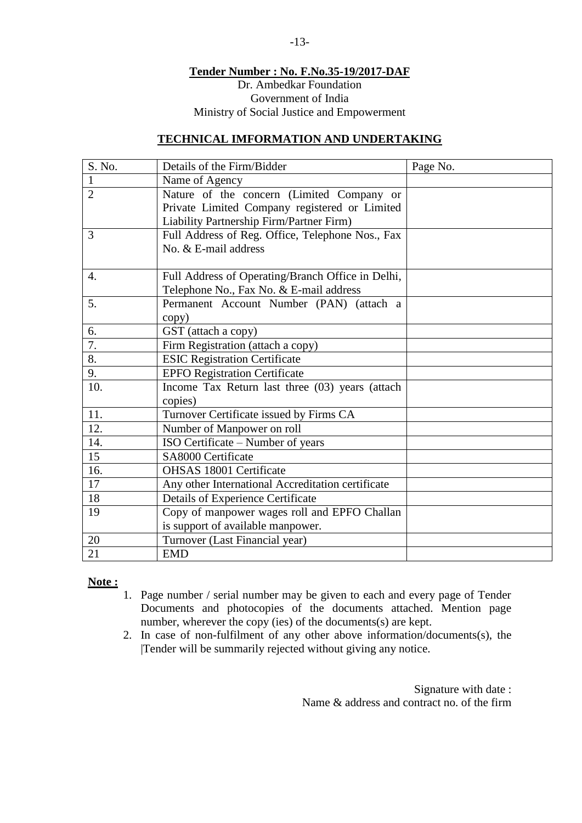# **Tender Number : No. F.No.35-19/2017-DAF** Dr. Ambedkar Foundation Government of India Ministry of Social Justice and Empowerment

# **TECHNICAL IMFORMATION AND UNDERTAKING**

| S. No.           | Details of the Firm/Bidder                        | Page No. |
|------------------|---------------------------------------------------|----------|
| 1                | Name of Agency                                    |          |
| $\overline{2}$   | Nature of the concern (Limited Company or         |          |
|                  | Private Limited Company registered or Limited     |          |
|                  | Liability Partnership Firm/Partner Firm)          |          |
| 3                | Full Address of Reg. Office, Telephone Nos., Fax  |          |
|                  | No. & E-mail address                              |          |
| $\overline{4}$ . | Full Address of Operating/Branch Office in Delhi, |          |
|                  | Telephone No., Fax No. & E-mail address           |          |
| 5.               | Permanent Account Number (PAN) (attach a          |          |
|                  | copy)                                             |          |
| 6.               | GST (attach a copy)                               |          |
| 7.               | Firm Registration (attach a copy)                 |          |
| 8.               | <b>ESIC Registration Certificate</b>              |          |
| 9.               | <b>EPFO Registration Certificate</b>              |          |
| 10.              | Income Tax Return last three (03) years (attach   |          |
|                  | copies)                                           |          |
| 11.              | Turnover Certificate issued by Firms CA           |          |
| 12.              | Number of Manpower on roll                        |          |
| 14.              | ISO Certificate – Number of years                 |          |
| 15               | SA8000 Certificate                                |          |
| 16.              | OHSAS 18001 Certificate                           |          |
| 17               | Any other International Accreditation certificate |          |
| 18               | <b>Details of Experience Certificate</b>          |          |
| 19               | Copy of manpower wages roll and EPFO Challan      |          |
|                  | is support of available manpower.                 |          |
| 20               | Turnover (Last Financial year)                    |          |
| 21               | <b>EMD</b>                                        |          |

# **Note :**

- 1. Page number / serial number may be given to each and every page of Tender Documents and photocopies of the documents attached. Mention page number, wherever the copy (ies) of the documents(s) are kept.
- 2. In case of non-fulfilment of any other above information/documents(s), the |Tender will be summarily rejected without giving any notice.

Signature with date : Name  $\&$  address and contract no. of the firm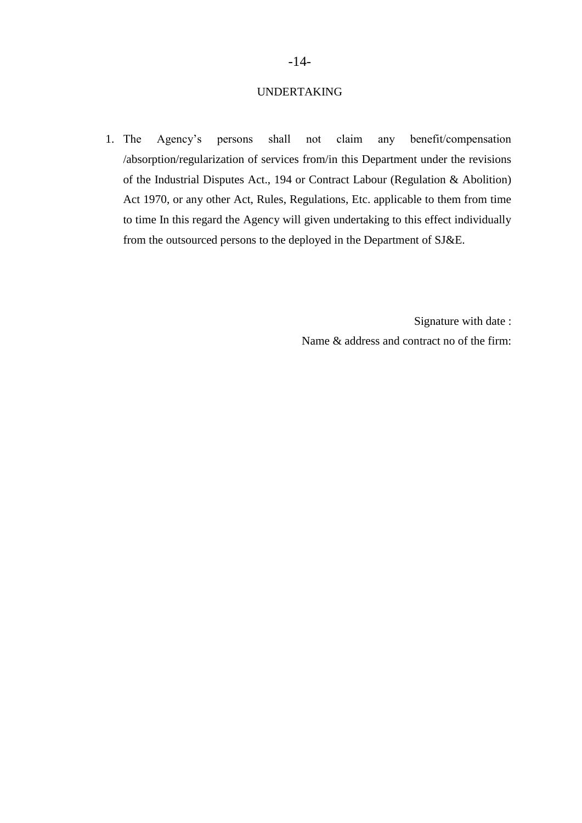# -14-

### UNDERTAKING

1. The Agency's persons shall not claim any benefit/compensation /absorption/regularization of services from/in this Department under the revisions of the Industrial Disputes Act., 194 or Contract Labour (Regulation & Abolition) Act 1970, or any other Act, Rules, Regulations, Etc. applicable to them from time to time In this regard the Agency will given undertaking to this effect individually from the outsourced persons to the deployed in the Department of SJ&E.

> Signature with date : Name & address and contract no of the firm: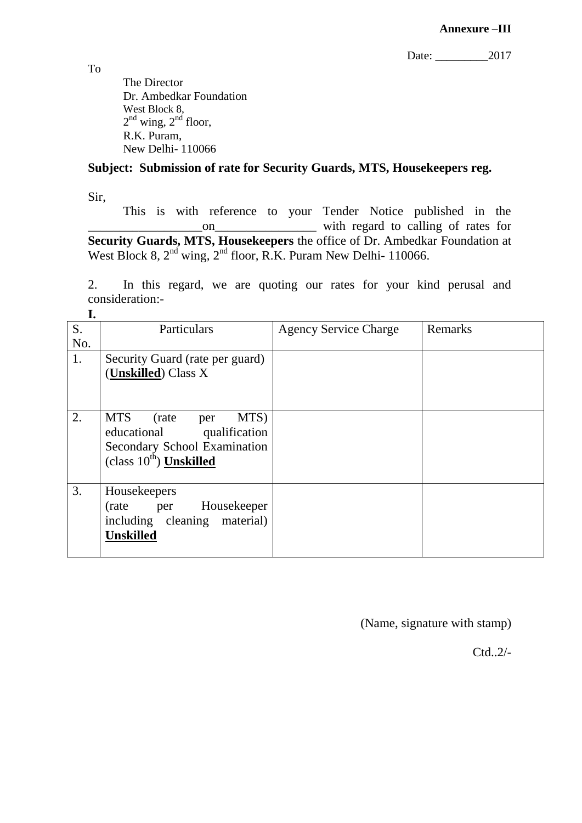Date: 2017

The Director Dr. Ambedkar Foundation West Block 8,  $2<sup>nd</sup>$  wing,  $2<sup>nd</sup>$  floor, R.K. Puram, New Delhi- 110066

# **Subject: Submission of rate for Security Guards, MTS, Housekeepers reg.**

Sir,

This is with reference to your Tender Notice published in the on with regard to calling of rates for **Security Guards, MTS, Housekeepers** the office of Dr. Ambedkar Foundation at West Block 8, 2<sup>nd</sup> wing, 2<sup>nd</sup> floor, R.K. Puram New Delhi- 110066.

2. In this regard, we are quoting our rates for your kind perusal and consideration:- **I.**

| ı.  |                                     |                              |         |
|-----|-------------------------------------|------------------------------|---------|
| S.  | Particulars                         | <b>Agency Service Charge</b> | Remarks |
| No. |                                     |                              |         |
| 1.  | Security Guard (rate per guard)     |                              |         |
|     | (Unskilled) Class X                 |                              |         |
|     |                                     |                              |         |
|     |                                     |                              |         |
| 2.  | <b>MTS</b><br>MTS)<br>(rate)<br>per |                              |         |
|     | educational qualification           |                              |         |
|     | Secondary School Examination        |                              |         |
|     | (class $10^{\text{th}}$ ) Unskilled |                              |         |
|     |                                     |                              |         |
| 3.  | Housekeepers                        |                              |         |
|     | per Housekeeper<br>(rate)           |                              |         |
|     | including cleaning material)        |                              |         |
|     | <b>Unskilled</b>                    |                              |         |
|     |                                     |                              |         |

(Name, signature with stamp)

Ctd..2/-

To